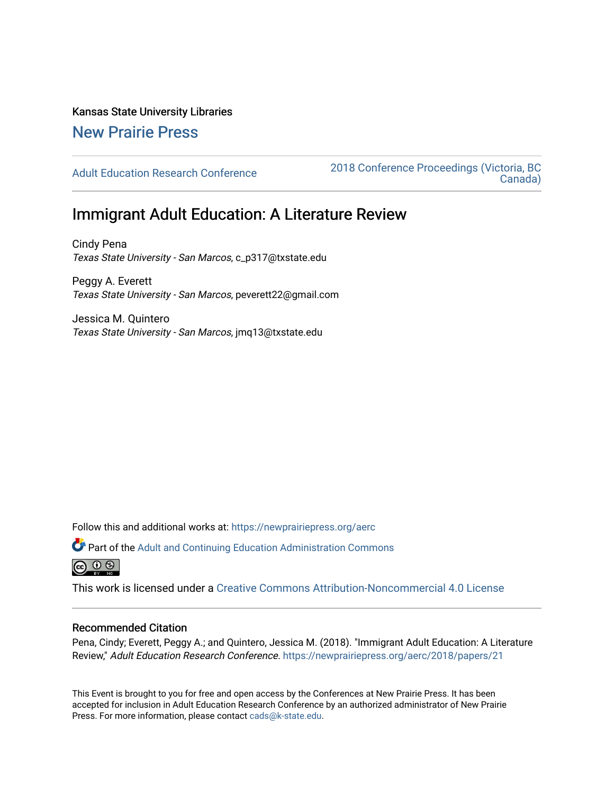# Kansas State University Libraries

## [New Prairie Press](https://newprairiepress.org/)

[Adult Education Research Conference](https://newprairiepress.org/aerc) [2018 Conference Proceedings \(Victoria, BC](https://newprairiepress.org/aerc/2018)  [Canada\)](https://newprairiepress.org/aerc/2018) 

## Immigrant Adult Education: A Literature Review

Cindy Pena Texas State University - San Marcos, c\_p317@txstate.edu

Peggy A. Everett Texas State University - San Marcos, peverett22@gmail.com

Jessica M. Quintero Texas State University - San Marcos, jmq13@txstate.edu

Follow this and additional works at: [https://newprairiepress.org/aerc](https://newprairiepress.org/aerc?utm_source=newprairiepress.org%2Faerc%2F2018%2Fpapers%2F21&utm_medium=PDF&utm_campaign=PDFCoverPages)

Part of the [Adult and Continuing Education Administration Commons](http://network.bepress.com/hgg/discipline/789?utm_source=newprairiepress.org%2Faerc%2F2018%2Fpapers%2F21&utm_medium=PDF&utm_campaign=PDFCoverPages) @ 0 ®

This work is licensed under a [Creative Commons Attribution-Noncommercial 4.0 License](https://creativecommons.org/licenses/by-nc/4.0/)

## Recommended Citation

Pena, Cindy; Everett, Peggy A.; and Quintero, Jessica M. (2018). "Immigrant Adult Education: A Literature Review," Adult Education Research Conference.<https://newprairiepress.org/aerc/2018/papers/21>

This Event is brought to you for free and open access by the Conferences at New Prairie Press. It has been accepted for inclusion in Adult Education Research Conference by an authorized administrator of New Prairie Press. For more information, please contact [cads@k-state.edu.](mailto:cads@k-state.edu)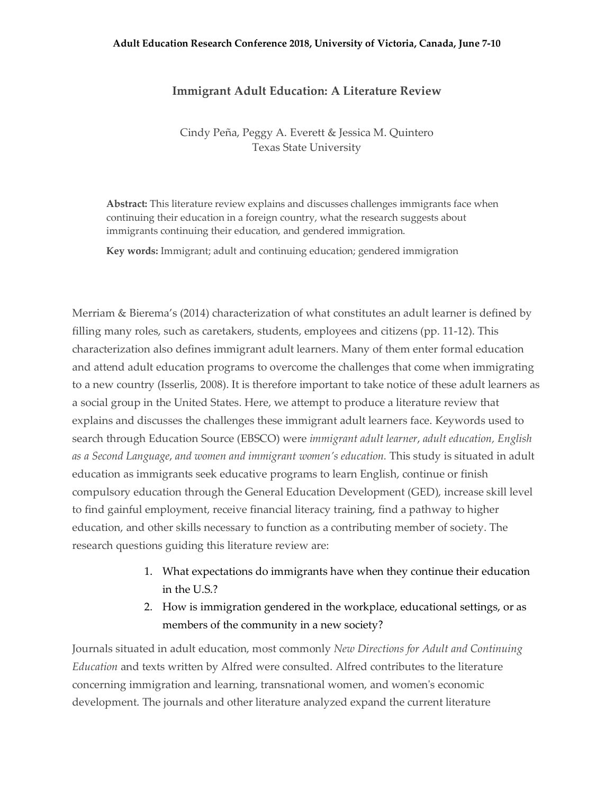### **Adult Education Research Conference 2018, University of Victoria, Canada, June 7-10**

## **Immigrant Adult Education: A Literature Review**

Cindy Peña, Peggy A. Everett & Jessica M. Quintero Texas State University

**Abstract:** This literature review explains and discusses challenges immigrants face when continuing their education in a foreign country, what the research suggests about immigrants continuing their education, and gendered immigration.

**Key words:** Immigrant; adult and continuing education; gendered immigration

Merriam & Bierema's (2014) characterization of what constitutes an adult learner is defined by filling many roles, such as caretakers, students, employees and citizens (pp. 11-12). This characterization also defines immigrant adult learners. Many of them enter formal education and attend adult education programs to overcome the challenges that come when immigrating to a new country (Isserlis, 2008). It is therefore important to take notice of these adult learners as a social group in the United States. Here, we attempt to produce a literature review that explains and discusses the challenges these immigrant adult learners face. Keywords used to search through Education Source (EBSCO) were *immigrant adult learner*, *adult education, English as a Second Language*, *and women and immigrant women's education.* This study is situated in adult education as immigrants seek educative programs to learn English, continue or finish compulsory education through the General Education Development (GED), increase skill level to find gainful employment, receive financial literacy training, find a pathway to higher education, and other skills necessary to function as a contributing member of society. The research questions guiding this literature review are:

- 1. What expectations do immigrants have when they continue their education in the U.S.?
- 2. How is immigration gendered in the workplace, educational settings, or as members of the community in a new society?

Journals situated in adult education, most commonly *New Directions for Adult and Continuing Education* and texts written by Alfred were consulted. Alfred contributes to the literature concerning immigration and learning, transnational women, and women's economic development. The journals and other literature analyzed expand the current literature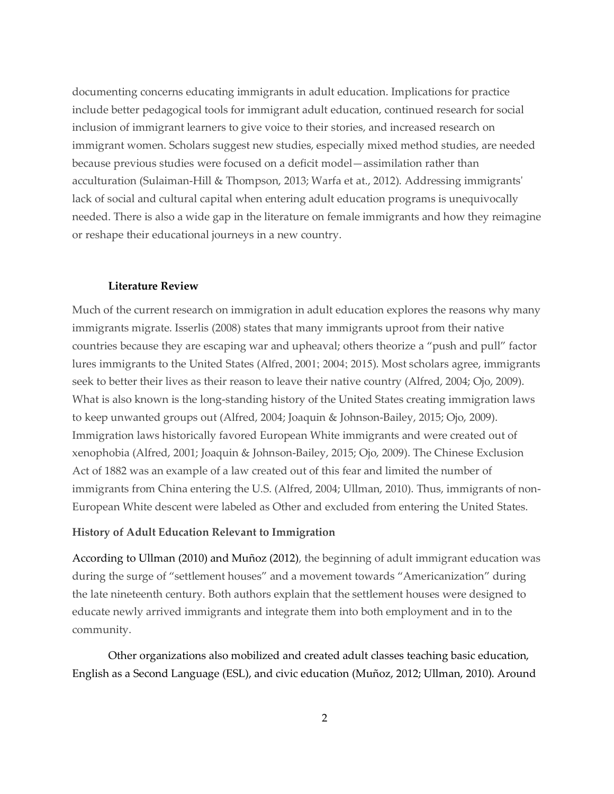documenting concerns educating immigrants in adult education. Implications for practice include better pedagogical tools for immigrant adult education, continued research for social inclusion of immigrant learners to give voice to their stories, and increased research on immigrant women. Scholars suggest new studies, especially mixed method studies, are needed because previous studies were focused on a deficit model—assimilation rather than acculturation (Sulaiman-Hill & Thompson, 2013; Warfa et at., 2012). Addressing immigrants' lack of social and cultural capital when entering adult education programs is unequivocally needed. There is also a wide gap in the literature on female immigrants and how they reimagine or reshape their educational journeys in a new country.

## **Literature Review**

Much of the current research on immigration in adult education explores the reasons why many immigrants migrate. Isserlis (2008) states that many immigrants uproot from their native countries because they are escaping war and upheaval; others theorize a "push and pull" factor lures immigrants to the United States (Alfred, 2001; 2004; 2015). Most scholars agree, immigrants seek to better their lives as their reason to leave their native country (Alfred, 2004; Ojo, 2009). What is also known is the long-standing history of the United States creating immigration laws to keep unwanted groups out (Alfred, 2004; Joaquin & Johnson-Bailey, 2015; Ojo, 2009). Immigration laws historically favored European White immigrants and were created out of xenophobia (Alfred, 2001; Joaquin & Johnson-Bailey, 2015; Ojo, 2009). The Chinese Exclusion Act of 1882 was an example of a law created out of this fear and limited the number of immigrants from China entering the U.S. (Alfred, 2004; Ullman, 2010). Thus, immigrants of non-European White descent were labeled as Other and excluded from entering the United States.

### **History of Adult Education Relevant to Immigration**

According to Ullman (2010) and Muñoz (2012), the beginning of adult immigrant education was during the surge of "settlement houses" and a movement towards "Americanization" during the late nineteenth century. Both authors explain that the settlement houses were designed to educate newly arrived immigrants and integrate them into both employment and in to the community.

Other organizations also mobilized and created adult classes teaching basic education, English as a Second Language (ESL), and civic education (Muñoz, 2012; Ullman, 2010). Around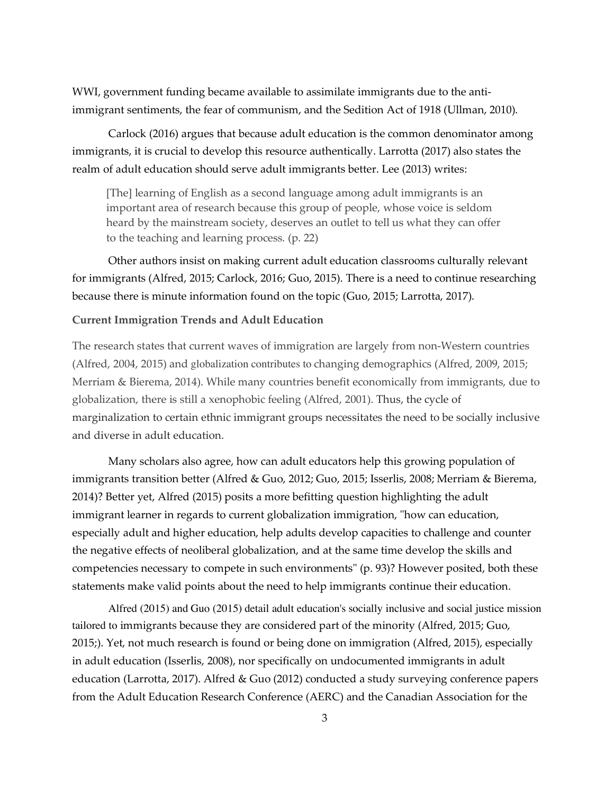WWI, government funding became available to assimilate immigrants due to the antiimmigrant sentiments, the fear of communism, and the Sedition Act of 1918 (Ullman, 2010).

Carlock (2016) argues that because adult education is the common denominator among immigrants, it is crucial to develop this resource authentically. Larrotta (2017) also states the realm of adult education should serve adult immigrants better. Lee (2013) writes:

[The] learning of English as a second language among adult immigrants is an important area of research because this group of people, whose voice is seldom heard by the mainstream society, deserves an outlet to tell us what they can offer to the teaching and learning process. (p. 22)

Other authors insist on making current adult education classrooms culturally relevant for immigrants (Alfred, 2015; Carlock, 2016; Guo, 2015). There is a need to continue researching because there is minute information found on the topic (Guo, 2015; Larrotta, 2017).

## **Current Immigration Trends and Adult Education**

The research states that current waves of immigration are largely from non-Western countries (Alfred, 2004, 2015) and globalization contributes to changing demographics (Alfred, 2009, 2015; Merriam & Bierema, 2014). While many countries benefit economically from immigrants, due to globalization, there is still a xenophobic feeling (Alfred, 2001). Thus, the cycle of marginalization to certain ethnic immigrant groups necessitates the need to be socially inclusive and diverse in adult education.

Many scholars also agree, how can adult educators help this growing population of immigrants transition better (Alfred & Guo, 2012; Guo, 2015; Isserlis, 2008; Merriam & Bierema, 2014)? Better yet, Alfred (2015) posits a more befitting question highlighting the adult immigrant learner in regards to current globalization immigration, "how can education, especially adult and higher education, help adults develop capacities to challenge and counter the negative effects of neoliberal globalization, and at the same time develop the skills and competencies necessary to compete in such environments" (p. 93)? However posited, both these statements make valid points about the need to help immigrants continue their education.

Alfred (2015) and Guo (2015) detail adult education's socially inclusive and social justice mission tailored to immigrants because they are considered part of the minority (Alfred, 2015; Guo, 2015;). Yet, not much research is found or being done on immigration (Alfred, 2015), especially in adult education (Isserlis, 2008), nor specifically on undocumented immigrants in adult education (Larrotta, 2017). Alfred & Guo (2012) conducted a study surveying conference papers from the Adult Education Research Conference (AERC) and the Canadian Association for the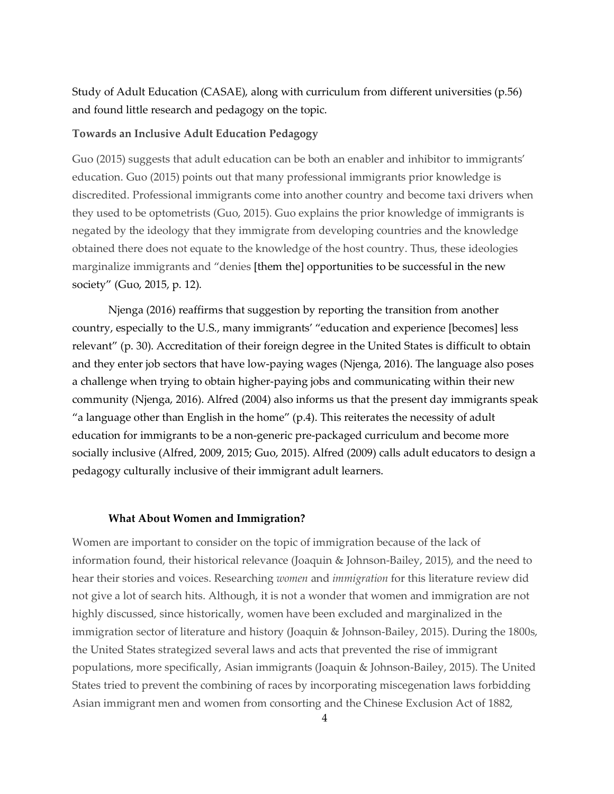Study of Adult Education (CASAE), along with curriculum from different universities (p.56) and found little research and pedagogy on the topic.

## **Towards an Inclusive Adult Education Pedagogy**

Guo (2015) suggests that adult education can be both an enabler and inhibitor to immigrants' education. Guo (2015) points out that many professional immigrants prior knowledge is discredited. Professional immigrants come into another country and become taxi drivers when they used to be optometrists (Guo, 2015). Guo explains the prior knowledge of immigrants is negated by the ideology that they immigrate from developing countries and the knowledge obtained there does not equate to the knowledge of the host country. Thus, these ideologies marginalize immigrants and "denies [them the] opportunities to be successful in the new society" (Guo, 2015, p. 12).

Njenga (2016) reaffirms that suggestion by reporting the transition from another country, especially to the U.S., many immigrants' "education and experience [becomes] less relevant" (p. 30). Accreditation of their foreign degree in the United States is difficult to obtain and they enter job sectors that have low-paying wages (Njenga, 2016). The language also poses a challenge when trying to obtain higher-paying jobs and communicating within their new community (Njenga, 2016). Alfred (2004) also informs us that the present day immigrants speak "a language other than English in the home"  $(p.4)$ . This reiterates the necessity of adult education for immigrants to be a non-generic pre-packaged curriculum and become more socially inclusive (Alfred, 2009, 2015; Guo, 2015). Alfred (2009) calls adult educators to design a pedagogy culturally inclusive of their immigrant adult learners.

#### **What About Women and Immigration?**

Women are important to consider on the topic of immigration because of the lack of information found, their historical relevance (Joaquin & Johnson-Bailey, 2015), and the need to hear their stories and voices. Researching *women* and *immigration* for this literature review did not give a lot of search hits. Although, it is not a wonder that women and immigration are not highly discussed, since historically, women have been excluded and marginalized in the immigration sector of literature and history (Joaquin & Johnson-Bailey, 2015). During the 1800s, the United States strategized several laws and acts that prevented the rise of immigrant populations, more specifically, Asian immigrants (Joaquin & Johnson-Bailey, 2015). The United States tried to prevent the combining of races by incorporating miscegenation laws forbidding Asian immigrant men and women from consorting and the Chinese Exclusion Act of 1882,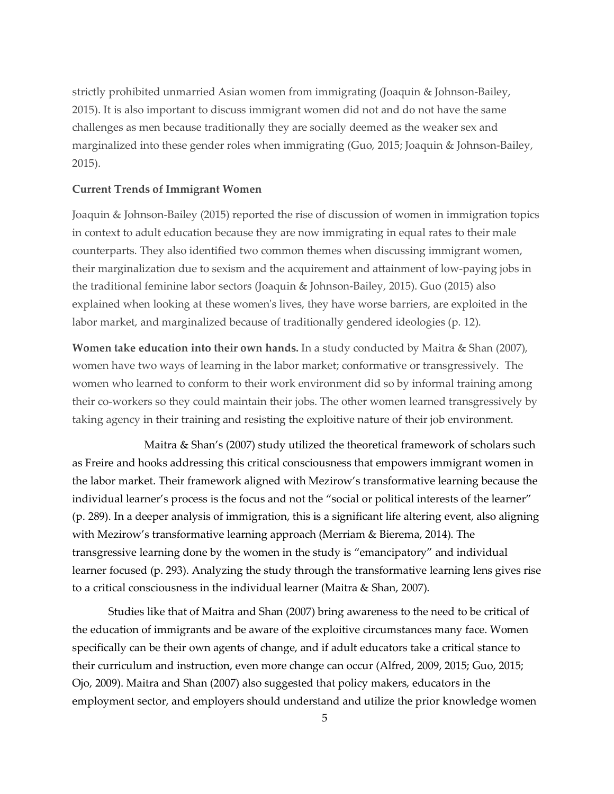strictly prohibited unmarried Asian women from immigrating (Joaquin & Johnson-Bailey, 2015). It is also important to discuss immigrant women did not and do not have the same challenges as men because traditionally they are socially deemed as the weaker sex and marginalized into these gender roles when immigrating (Guo, 2015; Joaquin & Johnson-Bailey, 2015).

## **Current Trends of Immigrant Women**

Joaquin & Johnson-Bailey (2015) reported the rise of discussion of women in immigration topics in context to adult education because they are now immigrating in equal rates to their male counterparts. They also identified two common themes when discussing immigrant women, their marginalization due to sexism and the acquirement and attainment of low-paying jobs in the traditional feminine labor sectors (Joaquin & Johnson-Bailey, 2015). Guo (2015) also explained when looking at these women's lives, they have worse barriers, are exploited in the labor market, and marginalized because of traditionally gendered ideologies (p. 12).

**Women take education into their own hands.** In a study conducted by Maitra & Shan (2007), women have two ways of learning in the labor market; conformative or transgressively. The women who learned to conform to their work environment did so by informal training among their co-workers so they could maintain their jobs. The other women learned transgressively by taking agency in their training and resisting the exploitive nature of their job environment.

Maitra & Shan's (2007) study utilized the theoretical framework of scholars such as Freire and hooks addressing this critical consciousness that empowers immigrant women in the labor market. Their framework aligned with Mezirow's transformative learning because the individual learner's process is the focus and not the "social or political interests of the learner" (p. 289). In a deeper analysis of immigration, this is a significant life altering event, also aligning with Mezirow's transformative learning approach (Merriam & Bierema, 2014). The transgressive learning done by the women in the study is "emancipatory" and individual learner focused (p. 293). Analyzing the study through the transformative learning lens gives rise to a critical consciousness in the individual learner (Maitra & Shan, 2007).

Studies like that of Maitra and Shan (2007) bring awareness to the need to be critical of the education of immigrants and be aware of the exploitive circumstances many face. Women specifically can be their own agents of change, and if adult educators take a critical stance to their curriculum and instruction, even more change can occur (Alfred, 2009, 2015; Guo, 2015; Ojo, 2009). Maitra and Shan (2007) also suggested that policy makers, educators in the employment sector, and employers should understand and utilize the prior knowledge women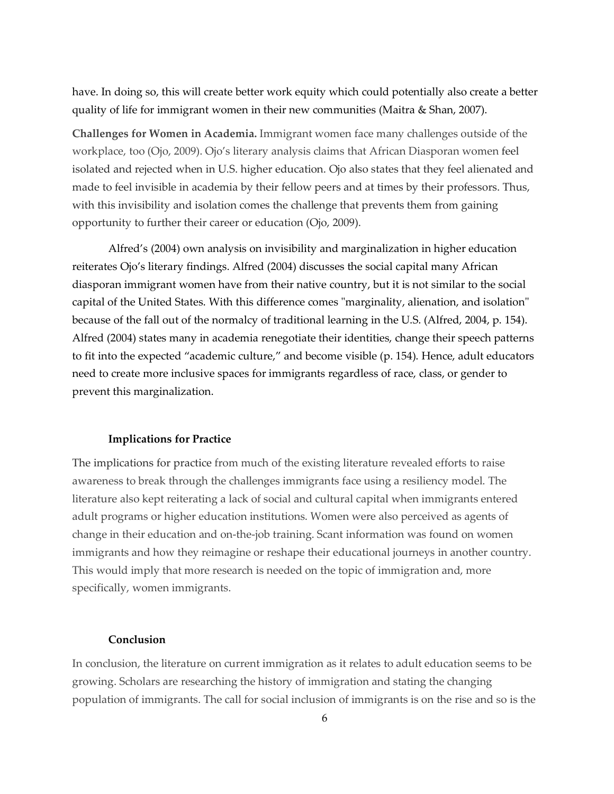have. In doing so, this will create better work equity which could potentially also create a better quality of life for immigrant women in their new communities (Maitra & Shan, 2007).

**Challenges for Women in Academia.** Immigrant women face many challenges outside of the workplace, too (Ojo, 2009). Ojo's literary analysis claims that African Diasporan women feel isolated and rejected when in U.S. higher education. Ojo also states that they feel alienated and made to feel invisible in academia by their fellow peers and at times by their professors. Thus, with this invisibility and isolation comes the challenge that prevents them from gaining opportunity to further their career or education (Ojo, 2009).

Alfred's (2004) own analysis on invisibility and marginalization in higher education reiterates Ojo's literary findings. Alfred (2004) discusses the social capital many African diasporan immigrant women have from their native country, but it is not similar to the social capital of the United States. With this difference comes "marginality, alienation, and isolation" because of the fall out of the normalcy of traditional learning in the U.S. (Alfred, 2004, p. 154). Alfred (2004) states many in academia renegotiate their identities, change their speech patterns to fit into the expected "academic culture," and become visible (p. 154). Hence, adult educators need to create more inclusive spaces for immigrants regardless of race, class, or gender to prevent this marginalization.

#### **Implications for Practice**

The implications for practice from much of the existing literature revealed efforts to raise awareness to break through the challenges immigrants face using a resiliency model. The literature also kept reiterating a lack of social and cultural capital when immigrants entered adult programs or higher education institutions. Women were also perceived as agents of change in their education and on-the-job training. Scant information was found on women immigrants and how they reimagine or reshape their educational journeys in another country. This would imply that more research is needed on the topic of immigration and, more specifically, women immigrants.

#### **Conclusion**

In conclusion, the literature on current immigration as it relates to adult education seems to be growing. Scholars are researching the history of immigration and stating the changing population of immigrants. The call for social inclusion of immigrants is on the rise and so is the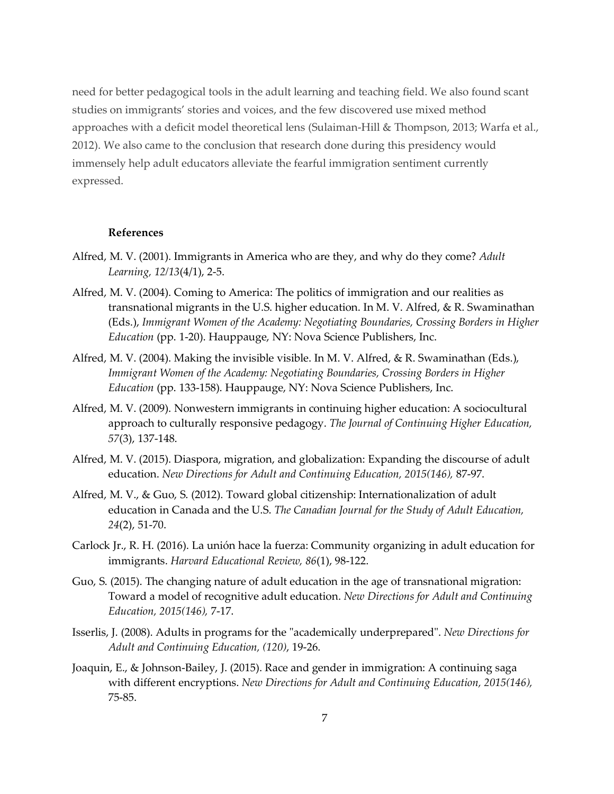need for better pedagogical tools in the adult learning and teaching field. We also found scant studies on immigrants' stories and voices, and the few discovered use mixed method approaches with a deficit model theoretical lens (Sulaiman-Hill & Thompson, 2013; Warfa et al., 2012). We also came to the conclusion that research done during this presidency would immensely help adult educators alleviate the fearful immigration sentiment currently expressed.

## **References**

- Alfred, M. V. (2001). Immigrants in America who are they, and why do they come? *Adult Learning, 12/13*(4/1), 2-5.
- Alfred, M. V. (2004). Coming to America: The politics of immigration and our realities as transnational migrants in the U.S. higher education. In M. V. Alfred, & R. Swaminathan (Eds.), *Immigrant Women of the Academy: Negotiating Boundaries, Crossing Borders in Higher Education* (pp. 1-20). Hauppauge, NY: Nova Science Publishers, Inc.
- Alfred, M. V. (2004). Making the invisible visible. In M. V. Alfred, & R. Swaminathan (Eds.), *Immigrant Women of the Academy: Negotiating Boundaries, Crossing Borders in Higher Education* (pp. 133-158). Hauppauge, NY: Nova Science Publishers, Inc.
- Alfred, M. V. (2009). Nonwestern immigrants in continuing higher education: A sociocultural approach to culturally responsive pedagogy. *The Journal of Continuing Higher Education, 57*(3), 137-148.
- Alfred, M. V. (2015). Diaspora, migration, and globalization: Expanding the discourse of adult education. *New Directions for Adult and Continuing Education, 2015(146),* 87-97.
- Alfred, M. V., & Guo, S. (2012). Toward global citizenship: Internationalization of adult education in Canada and the U.S. *The Canadian Journal for the Study of Adult Education, 24*(2), 51-70.
- Carlock Jr., R. H. (2016). La unión hace la fuerza: Community organizing in adult education for immigrants. *Harvard Educational Review, 86*(1), 98-122.
- Guo, S. (2015). The changing nature of adult education in the age of transnational migration: Toward a model of recognitive adult education. *New Directions for Adult and Continuing Education, 2015(146),* 7-17.
- Isserlis, J. (2008). Adults in programs for the "academically underprepared". *New Directions for Adult and Continuing Education, (120)*, 19-26.
- Joaquin, E., & Johnson-Bailey, J. (2015). Race and gender in immigration: A continuing saga with different encryptions. *New Directions for Adult and Continuing Education, 2015(146),*  75-85.